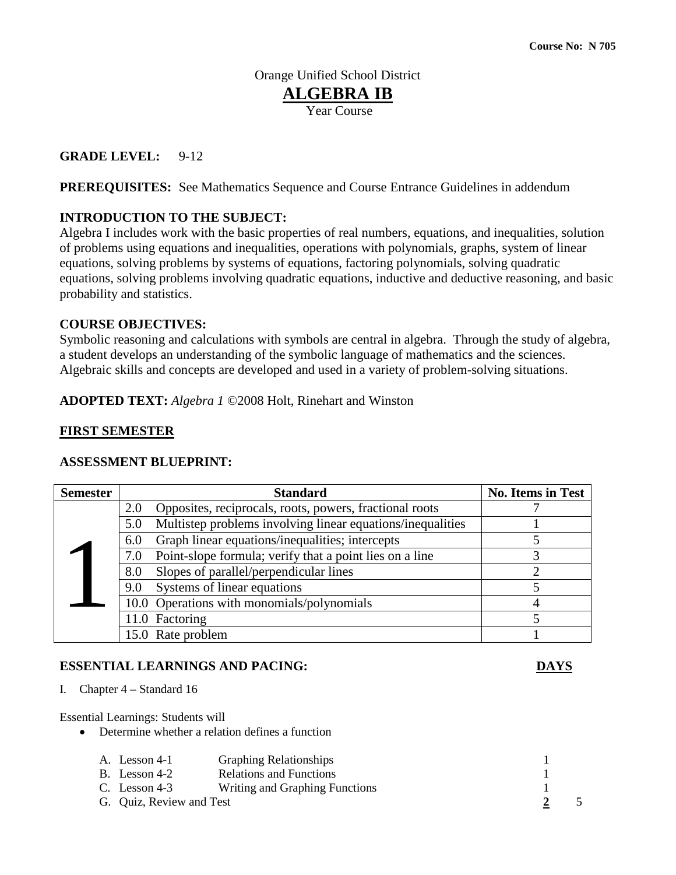Orange Unified School District **ALGEBRA IB** Year Course

#### **GRADE LEVEL:** 9-12

**PREREQUISITES:** See Mathematics Sequence and Course Entrance Guidelines in addendum

### **INTRODUCTION TO THE SUBJECT:**

Algebra I includes work with the basic properties of real numbers, equations, and inequalities, solution of problems using equations and inequalities, operations with polynomials, graphs, system of linear equations, solving problems by systems of equations, factoring polynomials, solving quadratic equations, solving problems involving quadratic equations, inductive and deductive reasoning, and basic probability and statistics.

#### **COURSE OBJECTIVES:**

Symbolic reasoning and calculations with symbols are central in algebra. Through the study of algebra, a student develops an understanding of the symbolic language of mathematics and the sciences. Algebraic skills and concepts are developed and used in a variety of problem-solving situations.

**ADOPTED TEXT:** *Algebra 1* ©2008 Holt, Rinehart and Winston

#### **FIRST SEMESTER**

#### **ASSESSMENT BLUEPRINT:**

| <b>Semester</b> | <b>Standard</b>                                                   | <b>No. Items in Test</b> |
|-----------------|-------------------------------------------------------------------|--------------------------|
|                 | Opposites, reciprocals, roots, powers, fractional roots<br>2.0    |                          |
|                 | Multistep problems involving linear equations/inequalities<br>5.0 |                          |
|                 | Graph linear equations/inequalities; intercepts<br>6.0            |                          |
|                 | Point-slope formula; verify that a point lies on a line<br>7.0    |                          |
|                 | Slopes of parallel/perpendicular lines<br>8.0                     |                          |
|                 | Systems of linear equations<br>9.0                                |                          |
|                 | 10.0 Operations with monomials/polynomials                        |                          |
|                 | 11.0 Factoring                                                    |                          |
|                 | 15.0 Rate problem                                                 |                          |

#### **ESSENTIAL LEARNINGS AND PACING: DAYS**

I. Chapter 4 – Standard 16

Essential Learnings: Students will

• Determine whether a relation defines a function

| A. Lesson 4-1            | <b>Graphing Relationships</b>  |  |
|--------------------------|--------------------------------|--|
| B. Lesson 4-2            | <b>Relations and Functions</b> |  |
| C. Lesson $4-3$          | Writing and Graphing Functions |  |
| G. Quiz, Review and Test |                                |  |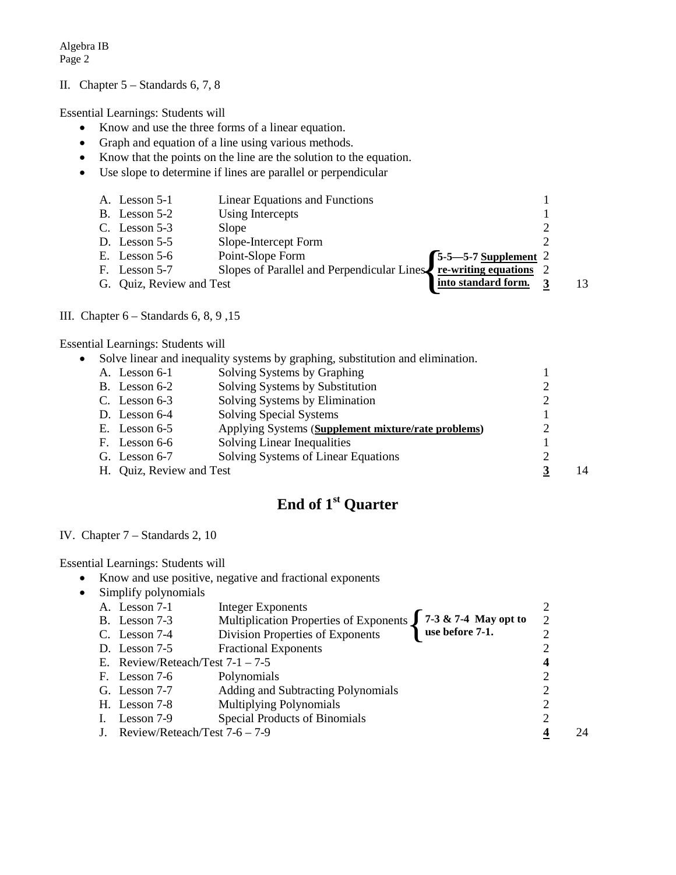#### II. Chapter 5 – Standards 6, 7, 8

Essential Learnings: Students will

- Know and use the three forms of a linear equation.
- Graph and equation of a line using various methods.
- Know that the points on the line are the solution to the equation.
- Use slope to determine if lines are parallel or perpendicular

|      | A. Lesson 5-1            | <b>Linear Equations and Functions</b>                                                                          |    |
|------|--------------------------|----------------------------------------------------------------------------------------------------------------|----|
|      | B. Lesson $5-2$          | Using Intercepts                                                                                               |    |
|      | C. Lesson $5-3$          | Slope                                                                                                          |    |
|      | D. Lesson $5-5$          | Slope-Intercept Form                                                                                           |    |
|      | E. Lesson $5-6$          | Point-Slope Form                                                                                               |    |
| - F. | Lesson 5-7               | Point-Slope Form<br>Slopes of Parallel and Perpendicular Lines $\int \frac{5-5-5-7}{re-writing \ equations}$ 2 |    |
|      | G. Quiz, Review and Test | into standard form.                                                                                            | 13 |
|      |                          |                                                                                                                |    |

#### III. Chapter 6 – Standards 6, 8, 9 ,15

Essential Learnings: Students will

|                          | Solve linear and inequality systems by graphing, substitution and elimination. |    |
|--------------------------|--------------------------------------------------------------------------------|----|
| A. Lesson 6-1            | Solving Systems by Graphing                                                    |    |
| B. Lesson $6-2$          | Solving Systems by Substitution                                                |    |
| C. Lesson $6-3$          | Solving Systems by Elimination                                                 |    |
| D. Lesson $6-4$          | Solving Special Systems                                                        |    |
| E. Lesson $6-5$          | Applying Systems (Supplement mixture/rate problems)                            |    |
| F. Lesson 6-6            | <b>Solving Linear Inequalities</b>                                             |    |
| G. Lesson 6-7            | Solving Systems of Linear Equations                                            |    |
| H. Quiz, Review and Test |                                                                                | 14 |
|                          |                                                                                |    |

# **End of 1st Quarter**

#### IV. Chapter 7 – Standards 2, 10

#### Essential Learnings: Students will

• Know and use positive, negative and fractional exponents

|            | <b>Integer Exponents</b>                                                                                                                          |                                                                     |                                                                                        |    |
|------------|---------------------------------------------------------------------------------------------------------------------------------------------------|---------------------------------------------------------------------|----------------------------------------------------------------------------------------|----|
|            |                                                                                                                                                   |                                                                     | 2                                                                                      |    |
|            | Division Properties of Exponents                                                                                                                  |                                                                     |                                                                                        |    |
|            | <b>Fractional Exponents</b>                                                                                                                       |                                                                     |                                                                                        |    |
|            |                                                                                                                                                   |                                                                     | 4                                                                                      |    |
|            | Polynomials                                                                                                                                       |                                                                     |                                                                                        |    |
|            | Adding and Subtracting Polynomials                                                                                                                |                                                                     |                                                                                        |    |
|            | <b>Multiplying Polynomials</b>                                                                                                                    |                                                                     |                                                                                        |    |
| Lesson 7-9 | Special Products of Binomials                                                                                                                     |                                                                     |                                                                                        |    |
|            |                                                                                                                                                   |                                                                     |                                                                                        | 24 |
|            | Simplify polynomials<br>A. Lesson 7-1<br>B. Lesson 7-3<br>C. Lesson $7-4$<br>D. Lesson $7-5$<br>F. Lesson 7-6<br>G. Lesson $7-7$<br>H. Lesson 7-8 | E. Review/Reteach/Test $7-1 - 7-5$<br>Review/Reteach/Test 7-6 - 7-9 | Multiplication Properties of Exponents $\int 7-3 \& 7-4$ May opt to<br>use before 7-1. |    |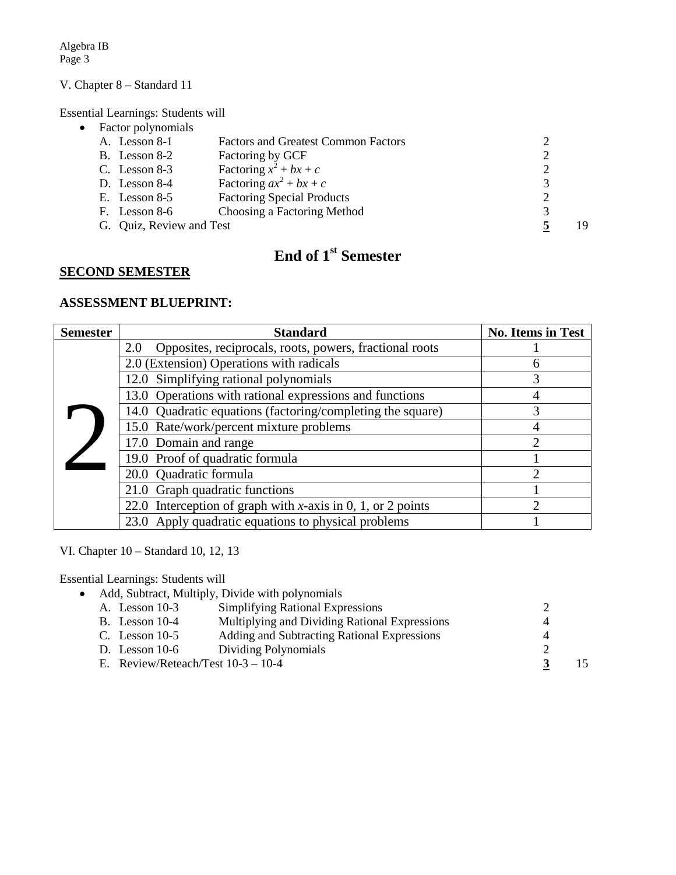#### V. Chapter 8 – Standard 11

Essential Learnings: Students will

| Factor polynomials       |                                            |    |
|--------------------------|--------------------------------------------|----|
| A. Lesson 8-1            | <b>Factors and Greatest Common Factors</b> |    |
| B. Lesson 8-2            | Factoring by GCF                           |    |
| C. Lesson $8-3$          | Factoring $x^2 + bx + c$                   |    |
| D. Lesson $8-4$          | Factoring $ax^2 + bx + c$                  |    |
| E. Lesson $8-5$          | <b>Factoring Special Products</b>          |    |
| Lesson 8-6<br>Н.         | Choosing a Factoring Method                |    |
| G. Quiz, Review and Test |                                            | 19 |

## **End of 1st Semester**

#### **SECOND SEMESTER**

#### **ASSESSMENT BLUEPRINT:**

| <b>Semester</b> | <b>Standard</b>                                                | No. Items in Test       |
|-----------------|----------------------------------------------------------------|-------------------------|
|                 | Opposites, reciprocals, roots, powers, fractional roots<br>2.0 |                         |
|                 | 2.0 (Extension) Operations with radicals                       | h                       |
|                 | 12.0 Simplifying rational polynomials                          | 3                       |
|                 | 13.0 Operations with rational expressions and functions        |                         |
|                 | 14.0 Quadratic equations (factoring/completing the square)     | 3                       |
|                 | 15.0 Rate/work/percent mixture problems                        |                         |
|                 | 17.0 Domain and range                                          |                         |
|                 | 19.0 Proof of quadratic formula                                |                         |
|                 | 20.0 Quadratic formula                                         | $\mathcal{D}_{1}^{(1)}$ |
|                 | 21.0 Graph quadratic functions                                 |                         |
|                 | 22.0 Interception of graph with x-axis in 0, 1, or 2 points    |                         |
|                 | 23.0 Apply quadratic equations to physical problems            |                         |

VI. Chapter 10 – Standard 10, 12, 13

Essential Learnings: Students will

• Add, Subtract, Multiply, Divide with polynomials A. Lesson 10-3 Simplifying Rational Expressions 2 B. Lesson 10-4 Multiplying and Dividing Rational Expressions 4<br>C. Lesson 10-5 Adding and Subtracting Rational Expressions 4 Adding and Subtracting Rational Expressions 4 D. Lesson 10-6 Dividing Polynomials 2<br>E. Review/Reteach/Test  $10-3 - 10-4$  3 E. Review/Reteach/Test 10-3 – 10-4 **3** 15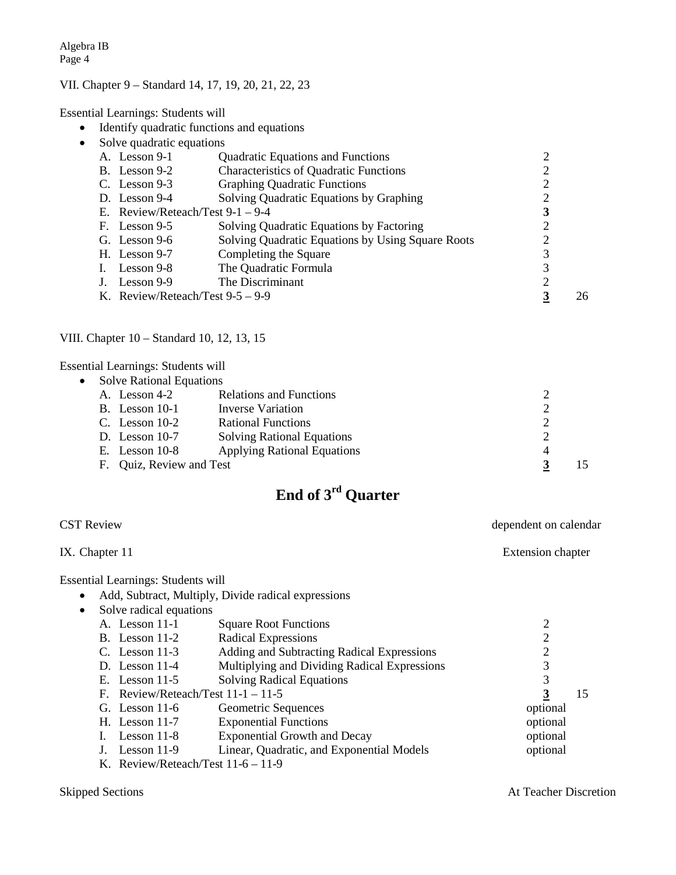### VII. Chapter 9 – Standard 14, 17, 19, 20, 21, 22, 23

Essential Learnings: Students will

- Identify quadratic functions and equations
- Solve quadratic equations

| A. Lesson 9-1                      | <b>Quadratic Equations and Functions</b>          |   |    |
|------------------------------------|---------------------------------------------------|---|----|
| B. Lesson 9-2                      | <b>Characteristics of Quadratic Functions</b>     | റ |    |
| C. Lesson $9-3$                    | <b>Graphing Quadratic Functions</b>               | 2 |    |
| D. Lesson $9-4$                    | Solving Quadratic Equations by Graphing           | 2 |    |
| E. Review/Reteach/Test $9-1 - 9-4$ |                                                   | 3 |    |
| F. Lesson 9-5                      | Solving Quadratic Equations by Factoring          | 2 |    |
| G. Lesson $9-6$                    | Solving Quadratic Equations by Using Square Roots | 2 |    |
| H. Lesson 9-7                      | Completing the Square                             | 3 |    |
| I. Lesson $9-8$                    | The Quadratic Formula                             | 3 |    |
| Lesson 9-9                         | The Discriminant                                  | 2 |    |
| K. Review/Reteach/Test $9-5 - 9-9$ |                                                   |   | 26 |

#### VIII. Chapter 10 – Standard 10, 12, 13, 15

Essential Learnings: Students will

| • Solve Rational Equations |                                    |   |  |  |
|----------------------------|------------------------------------|---|--|--|
| A. Lesson 4-2              | <b>Relations and Functions</b>     |   |  |  |
| B. Lesson $10-1$           | Inverse Variation                  | ◠ |  |  |
| C. Lesson $10-2$           | <b>Rational Functions</b>          |   |  |  |
| D. Lesson $10-7$           | <b>Solving Rational Equations</b>  |   |  |  |
| E. Lesson $10-8$           | <b>Applying Rational Equations</b> | 4 |  |  |
| F. Quiz, Review and Test   |                                    |   |  |  |

# **End of 3rd Quarter**

| <b>CST Review</b>                                |                                                     | dependent on calendar |
|--------------------------------------------------|-----------------------------------------------------|-----------------------|
| IX. Chapter 11                                   |                                                     | Extension chapter     |
| <b>Essential Learnings: Students will</b>        |                                                     |                       |
| $\bullet$                                        | Add, Subtract, Multiply, Divide radical expressions |                       |
| Solve radical equations<br>$\bullet$             |                                                     |                       |
| A. Lesson 11-1                                   | <b>Square Root Functions</b>                        | 2                     |
| B. Lesson $11-2$                                 | <b>Radical Expressions</b>                          | 2                     |
| C. Lesson $11-3$                                 | Adding and Subtracting Radical Expressions          | 2                     |
| D. Lesson $11-4$                                 | Multiplying and Dividing Radical Expressions        | 3                     |
| E. Lesson $11-5$                                 | <b>Solving Radical Equations</b>                    | 3                     |
| F.                                               | Review/Reteach/Test $11-1-11-5$                     | 15                    |
| G. Lesson $11-6$                                 | Geometric Sequences                                 | optional              |
| H. Lesson $11-7$                                 | <b>Exponential Functions</b>                        | optional              |
| Lesson $11-8$                                    | <b>Exponential Growth and Decay</b>                 | optional              |
| Lesson $11-9$                                    | Linear, Quadratic, and Exponential Models           | optional              |
| $V = \text{Dariaw}/\text{Datoob/Test 11.6}$ 11.0 |                                                     |                       |

K. Review/Reteach/Test 11-6 – 11-9

Skipped Sections At Teacher Discretion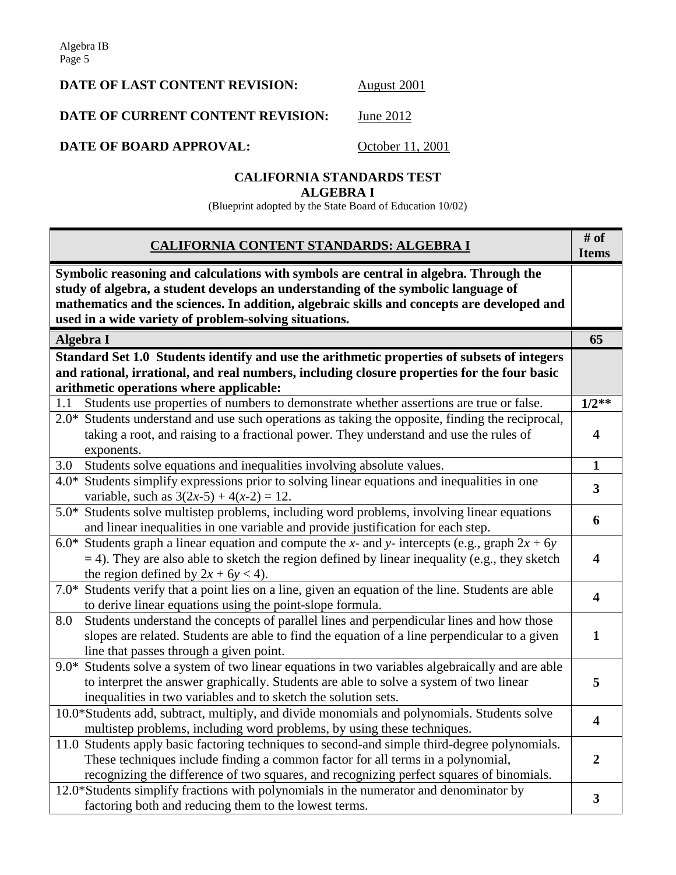## **DATE OF LAST CONTENT REVISION:** August 2001

## **DATE OF CURRENT CONTENT REVISION:** June 2012

**DATE OF BOARD APPROVAL:** October 11, 2001

#### **CALIFORNIA STANDARDS TEST ALGEBRA I**

(Blueprint adopted by the State Board of Education 10/02)

| CALIFORNIA CONTENT STANDARDS: ALGEBRA I                                                                                                                                                                                                                                                                                          | # of<br><b>Items</b>    |
|----------------------------------------------------------------------------------------------------------------------------------------------------------------------------------------------------------------------------------------------------------------------------------------------------------------------------------|-------------------------|
| Symbolic reasoning and calculations with symbols are central in algebra. Through the<br>study of algebra, a student develops an understanding of the symbolic language of<br>mathematics and the sciences. In addition, algebraic skills and concepts are developed and<br>used in a wide variety of problem-solving situations. |                         |
| Algebra I                                                                                                                                                                                                                                                                                                                        | 65                      |
| Standard Set 1.0 Students identify and use the arithmetic properties of subsets of integers                                                                                                                                                                                                                                      |                         |
| and rational, irrational, and real numbers, including closure properties for the four basic                                                                                                                                                                                                                                      |                         |
| arithmetic operations where applicable:                                                                                                                                                                                                                                                                                          |                         |
| Students use properties of numbers to demonstrate whether assertions are true or false.<br>1.1                                                                                                                                                                                                                                   | $1/2**$                 |
| 2.0* Students understand and use such operations as taking the opposite, finding the reciprocal,                                                                                                                                                                                                                                 |                         |
| taking a root, and raising to a fractional power. They understand and use the rules of                                                                                                                                                                                                                                           | 4                       |
| exponents.                                                                                                                                                                                                                                                                                                                       |                         |
| Students solve equations and inequalities involving absolute values.<br>3.0                                                                                                                                                                                                                                                      | $\mathbf{1}$            |
| Students simplify expressions prior to solving linear equations and inequalities in one<br>$4.0*$<br>variable, such as $3(2x-5) + 4(x-2) = 12$ .                                                                                                                                                                                 | $\overline{\mathbf{3}}$ |
| 5.0* Students solve multistep problems, including word problems, involving linear equations                                                                                                                                                                                                                                      |                         |
| and linear inequalities in one variable and provide justification for each step.                                                                                                                                                                                                                                                 | 6                       |
| Students graph a linear equation and compute the x- and y- intercepts (e.g., graph $2x + 6y$ )<br>$6.0*$                                                                                                                                                                                                                         |                         |
| $=$ 4). They are also able to sketch the region defined by linear inequality (e.g., they sketch                                                                                                                                                                                                                                  | 4                       |
| the region defined by $2x + 6y < 4$ ).                                                                                                                                                                                                                                                                                           |                         |
| Students verify that a point lies on a line, given an equation of the line. Students are able<br>$7.0*$                                                                                                                                                                                                                          | 4                       |
| to derive linear equations using the point-slope formula.                                                                                                                                                                                                                                                                        |                         |
| 8.0<br>Students understand the concepts of parallel lines and perpendicular lines and how those                                                                                                                                                                                                                                  |                         |
| slopes are related. Students are able to find the equation of a line perpendicular to a given                                                                                                                                                                                                                                    | $\mathbf{1}$            |
| line that passes through a given point.                                                                                                                                                                                                                                                                                          |                         |
| Students solve a system of two linear equations in two variables algebraically and are able<br>$9.0*$                                                                                                                                                                                                                            |                         |
| to interpret the answer graphically. Students are able to solve a system of two linear                                                                                                                                                                                                                                           | 5                       |
| inequalities in two variables and to sketch the solution sets.                                                                                                                                                                                                                                                                   |                         |
| 10.0*Students add, subtract, multiply, and divide monomials and polynomials. Students solve                                                                                                                                                                                                                                      | 4                       |
| multistep problems, including word problems, by using these techniques.                                                                                                                                                                                                                                                          |                         |
| 11.0 Students apply basic factoring techniques to second-and simple third-degree polynomials.                                                                                                                                                                                                                                    |                         |
| These techniques include finding a common factor for all terms in a polynomial,                                                                                                                                                                                                                                                  | 2                       |
| recognizing the difference of two squares, and recognizing perfect squares of binomials.                                                                                                                                                                                                                                         |                         |
| 12.0*Students simplify fractions with polynomials in the numerator and denominator by                                                                                                                                                                                                                                            | $\mathbf{3}$            |
| factoring both and reducing them to the lowest terms.                                                                                                                                                                                                                                                                            |                         |